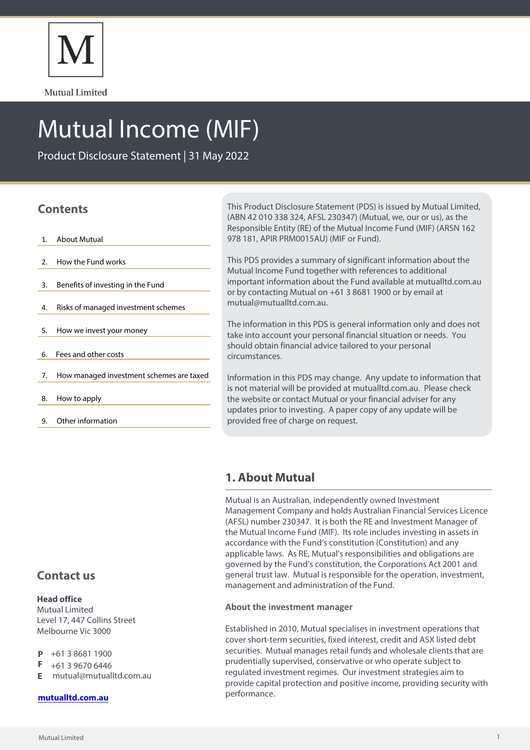

Mutual Limited

# Mutual Income (MIF)

Product Disclosure Statement | 31 May 2022

# **Contents**

- 1. About Mutual
- 2. How the Fund works
- 3. Benefits of investing in the Fund
- 4. Risks of managed investment schemes
- 5. How we invest your money
- 6. Fees and other costs
- 7. How managed investment schemes are taxed
- 8. How to apply
- 9. Other information

This Product Disclosure Statement (PDS) is issued by Mutual Limited, (ABN 42 010 338 324, AFSL 230347) (Mutual, we, our or us), as the Responsible Entity (RE) of the Mutual Income Fund (MIF) (ARSN 162 978 181, APIR PRM0015AU) (MIF or Fund).

This PDS provides a summary of significant information about the Mutual Income Fund together with references to additional important information about the Fund available at mutualltd.com.au or by contacting Mutual on +61 3 8681 1900 or by email at mutual@mutualltd.com.au.

The information in this PDS is general information only and does not take into account your personal financial situation or needs. You should obtain financial advice tailored to your personal circumstances.

Information in this PDS may change. Any update to information that is not material will be provided at mutualltd.com.au. Please check the website or contact Mutual or your financial adviser for any updates prior to investing. A paper copy of any update will be provided free of charge on request.

# **1. About Mutual**

Mutual is an Australian, independently owned Investment Management Company and holds Australian Financial Services Licence (AFSL) number 230347. It is both the RE and Investment Manager of the Mutual Income Fund (MIF). Its role includes investing in assets in accordance with the Fund's constitution (Constitution) and any applicable laws. As RE, Mutual's responsibilities and obligations are governed by the Fund's constitution, the Corporations Act 2001 and general trust law. Mutual is responsible for the operation, investment, management and administration of the Fund.

## **About the investment manager**

Established in 2010, Mutual specialises in investment operations that cover short-term securities, fixed interest, credit and ASX listed debt securities. Mutual manages retail funds and wholesale clients that are prudentially supervised, conservative or who operate subject to regulated investment regimes. Our investment strategies aim to provide capital protection and positive income, providing security with performance.

# **Contact us**

## **Head office**

Mutual Limited Level 17, 447 Collins Street Melbourne Vic 3000

- +61 3 8681 1900 D
- F +61 3 9670 6446
- mutual@mutualltd.com.au **E**

## **[mutualltd.com.au](www.mutualltd.com.au)**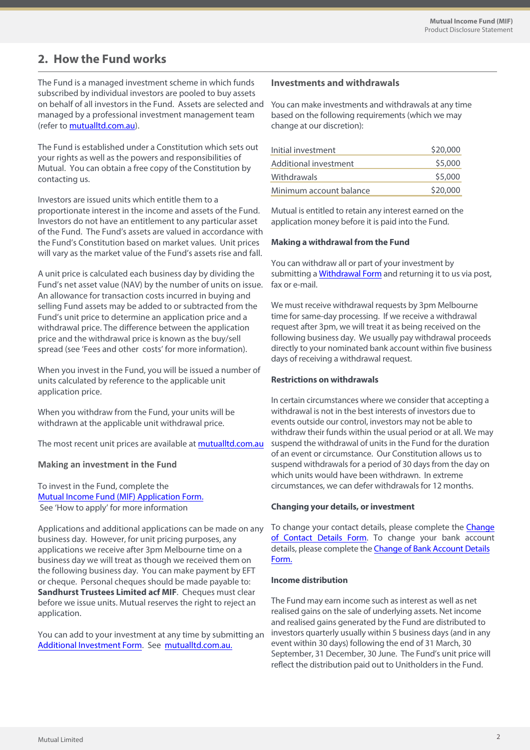# **2. How the Fund works**

The Fund is a managed investment scheme in which funds subscribed by individual investors are pooled to buy assets on behalf of all investors in the Fund. Assets are selected and managed by a professional investment management team (refer to [mutualltd.com.au\)](mutualltd.com.au).

The Fund is established under a Constitution which sets out your rights as well as the powers and responsibilities of Mutual. You can obtain a free copy of the Constitution by contacting us.

Investors are issued units which entitle them to a proportionate interest in the income and assets of the Fund. Investors do not have an entitlement to any particular asset of the Fund. The Fund's assets are valued in accordance with the Fund's Constitution based on market values. Unit prices will vary as the market value of the Fund's assets rise and fall.

A unit price is calculated each business day by dividing the Fund's net asset value (NAV) by the number of units on issue. An allowance for transaction costs incurred in buying and selling Fund assets may be added to or subtracted from the Fund's unit price to determine an application price and a withdrawal price. The difference between the application price and the withdrawal price is known as the buy/sell spread (see 'Fees and other costs' for more information).

When you invest in the Fund, you will be issued a number of units calculated by reference to the applicable unit application price.

When you withdraw from the Fund, your units will be withdrawn at the applicable unit withdrawal price.

The most recent unit prices are available at<mutualltd.com.au>

#### **Making an investment in the Fund**

To invest in the Fund, complete the Mutual Income Fund [\(MIF\) Application Form.](https://www.mutualltd.com.au/2019/wp-content/uploads/2022/06/Mutual-Limited-Mutual-Income-MIF-Application-Form.pdf) See 'How to apply' for more information

Applications and additional applications can be made on any business day. However, for unit pricing purposes, any applications we receive after 3pm Melbourne time on a business day we will treat as though we received them on the following business day. You can make payment by EFT or cheque. Personal cheques should be made payable to: **Sandhurst Trustees Limited acf MIF**. Cheques must clear before we issue units. Mutual reserves the right to reject an application.

You can add to your investment at any time by submitting an [Additional Investment Form](https://www.mutualltd.com.au/2019/wp-content/uploads/2022/06/Mutual-Limited-Mutual-Income-MIF-Additional-Investment-Form-1.pdf). See [mutualltd.com.au.](mutualltd.com.au)

## **Investments and withdrawals**

You can make investments and withdrawals at any time based on the following requirements (which we may change at our discretion):

| Initial investment      | \$20,000 |
|-------------------------|----------|
| Additional investment   | \$5,000  |
| Withdrawals             | \$5,000  |
| Minimum account balance | \$20,000 |

Mutual is entitled to retain any interest earned on the application money before it is paid into the Fund.

#### **Making a withdrawal from the Fund**

You can withdraw all or part of your investment by submitting a **Withdrawal Form** and returning it to us via post, fax or e-mail.

We must receive withdrawal requests by 3pm Melbourne time for same-day processing. If we receive a withdrawal request after 3pm, we will treat it as being received on the following business day. We usually pay withdrawal proceeds directly to your nominated bank account within five business days of receiving a withdrawal request.

#### **Restrictions on withdrawals**

In certain circumstances where we consider that accepting a withdrawal is not in the best interests of investors due to events outside our control, investors may not be able to withdraw their funds within the usual period or at all. We may suspend the withdrawal of units in the Fund for the duration of an event or circumstance. Our Constitution allows us to suspend withdrawals for a period of 30 days from the day on which units would have been withdrawn. In extreme circumstances, we can defer withdrawals for 12months.

#### **Changing your details, or investment**

To change your contact details, please complete the [Change](https://www.mutualltd.com.au/2019/wp-content/uploads/2022/06/Mutual-Limited-Change-of-Contact-Details-Form.pdf)  of [Contact](https://www.mutualltd.com.au/2019/wp-content/uploads/2022/06/Mutual-Limited-Change-of-Contact-Details-Form.pdf) Details Form. To change your bank account details, please complete the **Change of Bank Account Details** [Form.](https://www.mutualltd.com.au/2019/wp-content/uploads/2022/06/Mutual-Limited-Change-of-Bank-Account-Details-Form.pdf)

#### **Income distribution**

The Fund may earn income such as interest as well as net realised gains on the sale of underlying assets. Net income and realised gains generated by the Fund are distributed to investors quarterly usually within 5 business days (and in any event within 30 days) following the end of 31 March, 30 September, 31 December, 30 June. The Fund's unit price will reflect the distribution paid out to Unitholders in the Fund.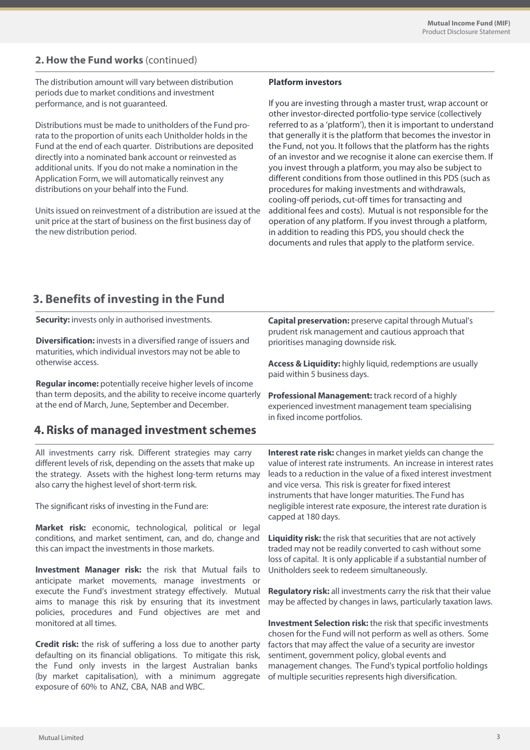# **2. How the Fund works** (continued)

The distribution amount will vary between distribution periods due to market conditions and investment performance, and is not guaranteed.

Distributions must be made to unitholders of the Fund prorata to the proportion of units each Unitholder holds in the Fund at the end of each quarter. Distributions are deposited directly into a nominated bank account or reinvested as additional units. If you do not make a nomination in the Application Form, we will automatically reinvest any distributions on your behalf into the Fund.

Units issued on reinvestment of a distribution are issued at the unit price at the start of business on the first business day of the new distribution period.

(by market capitalisation), with a minimum aggregate

exposure of 60% to ANZ, CBA, NAB and WBC.

#### **Platform investors**

If you are investing through a master trust, wrap account or other investor-directed portfolio-type service (collectively referred to as a 'platform'), then it is important to understand that generally it is the platform that becomes the investor in the Fund, not you. It follows that the platform has the rights of an investor and we recognise it alone can exercise them. If you invest through a platform, you may also be subject to different conditions from those outlined in this PDS (such as procedures for making investments and withdrawals, cooling-off periods, cut-off times for transacting and additional fees and costs). Mutual is not responsible for the operation of any platform. If you invest through a platform, in addition to reading this PDS, you should check the documents and rules that apply to the platform service.

of multiple securities represents high diversification.

# **3. Benefits of investing in the Fund**

All investments carry risk. Different strategies may carry different levels of risk, depending on the assets that make up the strategy. Assets with the highest long-term returns may also carry the highest level of short-term risk. The significant risks of investing in the Fund are: **Market risk:** economic, technological, political or legal conditions, and market sentiment, can, and do, change and this can impact the investments in those markets. **Investment Manager risk:** the risk that Mutual fails to anticipate market movements, manage investments or execute the Fund's investment strategy effectively. Mutual aims to manage this risk by ensuring that its investment policies, procedures and Fund objectives are met and monitored at all times. **Credit risk:** the risk of suffering a loss due to another party defaulting on its financial obligations. To mitigate this risk, the Fund only invests in the largest Australian banks **Interest rate risk:** changes in market yields can change the value of interest rate instruments. An increase in interest rates leads to a reduction in the value of a fixed interest investment and vice versa. This risk is greater for fixed interest instruments that have longer maturities. The Fund has negligible interest rate exposure, the interest rate duration is capped at 180 days. **Liquidity risk:** the risk that securities that are not actively traded may not be readily converted to cash without some loss of capital. It is only applicable if a substantial number of Unitholders seek to redeem simultaneously. **Regulatory risk:** all investments carry the risk that their value may be affected by changes in laws, particularly taxation laws. **Investment Selection risk:** the risk that specific investments chosen for the Fund will not perform as well as others. Some factors that may affect the value of a security are investor sentiment, government policy, global events and management changes. The Fund's typical portfolio holdings **Capital preservation:** preserve capital through Mutual's prudent risk management and cautious approach that prioritises managing downside risk. **Access & Liquidity:** highly liquid, redemptions are usually paid within 5 business days. **Professional Management:** track record of a highly experienced investment management team specialising in fixed income portfolios. **Security:** invests only in authorised investments. **Diversification:** invests in a diversified range of issuers and maturities, which individual investors may not be able to otherwise access. **Regular income:** potentially receive higher levels of income than term deposits, and the ability to receive income quarterly at the end of March, June, September and December. **4. Risks of managed investment schemes**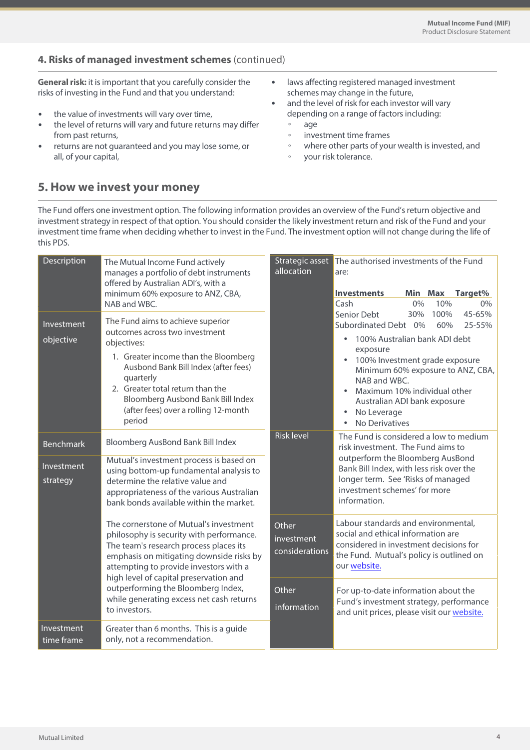# **4. Risks of managed investment schemes** (continued)

**General risk:** it is important that you carefully consider the risks of investing in the Fund and that you understand:

- the value of investments will vary over time,
- the level of returns will vary and future returns may differ from past returns,
- returns are not guaranteed and you may lose some, or all, of your capital,
- laws affecting registered managed investment schemes may change in the future,
- and the level of risk for each investor will vary depending on a range of factors including:
	- age
	- investment time frames
	- where other parts of your wealth is invested, and
	- your risk tolerance.

# **5. How we invest your money**

The Fund offers one investment option. The following information provides an overview of the Fund's return objective and investment strategy in respect of that option. You should consider the likely investment return and risk of the Fund and your investment time frame when deciding whether to invest in the Fund. The investment option will not change during the life of this PDS.

| Description              | The Mutual Income Fund actively<br>manages a portfolio of debt instruments<br>offered by Australian ADI's, with a<br>minimum 60% exposure to ANZ, CBA,<br>NAB and WBC.                                                                                                                                                                                          | Strategic asset<br>allocation         | The authorised investments of the Fund<br>are:                                                                                                                                                                                                                                                                     |  |  |
|--------------------------|-----------------------------------------------------------------------------------------------------------------------------------------------------------------------------------------------------------------------------------------------------------------------------------------------------------------------------------------------------------------|---------------------------------------|--------------------------------------------------------------------------------------------------------------------------------------------------------------------------------------------------------------------------------------------------------------------------------------------------------------------|--|--|
|                          |                                                                                                                                                                                                                                                                                                                                                                 |                                       | <b>Investments</b><br>Min Max<br>Target%<br>Cash<br>10%<br>0%<br>0%                                                                                                                                                                                                                                                |  |  |
| Investment<br>objective  | The Fund aims to achieve superior<br>outcomes across two investment<br>objectives:<br>1. Greater income than the Bloomberg<br>Ausbond Bank Bill Index (after fees)<br>quarterly<br>2. Greater total return than the<br>Bloomberg Ausbond Bank Bill Index<br>(after fees) over a rolling 12-month<br>period                                                      |                                       | Senior Debt<br>100%<br>45-65%<br>30%<br>Subordinated Debt 0%<br>60%<br>25-55%<br>100% Australian bank ADI debt<br>exposure<br>100% Investment grade exposure<br>Minimum 60% exposure to ANZ, CBA,<br>NAB and WBC.<br>Maximum 10% individual other<br>Australian ADI bank exposure<br>No Leverage<br>No Derivatives |  |  |
| <b>Benchmark</b>         | Bloomberg AusBond Bank Bill Index                                                                                                                                                                                                                                                                                                                               | <b>Risk level</b>                     | The Fund is considered a low to medium<br>risk investment. The Fund aims to                                                                                                                                                                                                                                        |  |  |
| Investment<br>strategy   | Mutual's investment process is based on<br>using bottom-up fundamental analysis to<br>determine the relative value and<br>appropriateness of the various Australian<br>bank bonds available within the market.                                                                                                                                                  |                                       | outperform the Bloomberg AusBond<br>Bank Bill Index, with less risk over the<br>longer term. See 'Risks of managed<br>investment schemes' for more<br>information.                                                                                                                                                 |  |  |
|                          | The cornerstone of Mutual's investment<br>philosophy is security with performance.<br>The team's research process places its<br>emphasis on mitigating downside risks by<br>attempting to provide investors with a<br>high level of capital preservation and<br>outperforming the Bloomberg Index,<br>while generating excess net cash returns<br>to investors. | Other<br>investment<br>considerations | Labour standards and environmental,<br>social and ethical information are<br>considered in investment decisions for<br>the Fund. Mutual's policy is outlined on<br>our website.                                                                                                                                    |  |  |
|                          |                                                                                                                                                                                                                                                                                                                                                                 | Other<br>information                  | For up-to-date information about the<br>Fund's investment strategy, performance<br>and unit prices, please visit our website.                                                                                                                                                                                      |  |  |
| Investment<br>time frame | Greater than 6 months. This is a guide<br>only, not a recommendation.                                                                                                                                                                                                                                                                                           |                                       |                                                                                                                                                                                                                                                                                                                    |  |  |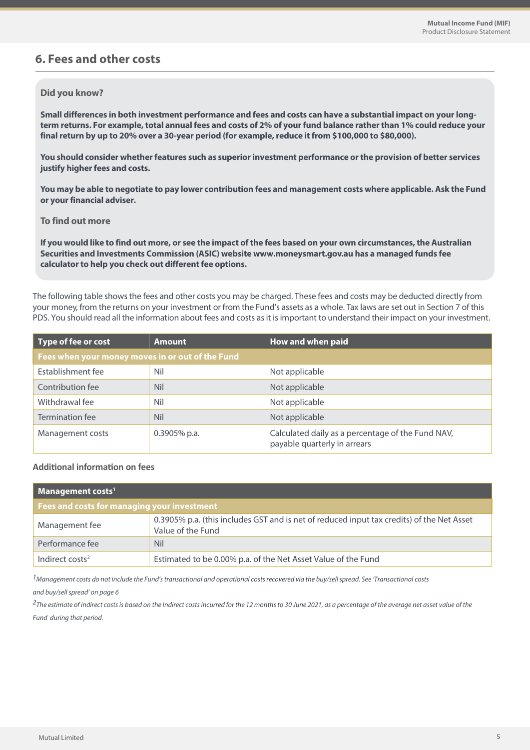# **6. Fees and other costs**

#### **Did you know?**

**Small differences in both investment performance and fees and costs can have a substantial impact on your longterm returns. For example, total annual fees and costs of 2% of your fund balance rather than 1% could reduce your final return by up to 20% over a 30-year period (for example, reduce it from \$100,000 to \$80,000).**

**You should consider whether features such as superior investment performance or the provision of better services justify higher fees and costs.**

**You may be able to negotiate to pay lower contribution fees and management costs where applicable. Ask the Fund or your financial adviser.**

#### **To find out more**

**If you would like to find out more, or see the impact of the fees based on your own circumstances, the Australian Securities and Investments Commission (ASIC) website www.moneysmart.gov.au has a managed funds fee calculator to help you check out different fee options.**

The following table shows the fees and other costs you may be charged. These fees and costs may be deducted directly from your money, from the returns on your investment or from the Fund's assets as a whole. Tax laws are set out in Section 7 of this PDS. You should read all the information about fees and costs as it is important to understand their impact on your investment.

| Type of fee or cost                              | <b>Amount</b>   | How and when paid                                                                 |  |  |
|--------------------------------------------------|-----------------|-----------------------------------------------------------------------------------|--|--|
| Fees when your money moves in or out of the Fund |                 |                                                                                   |  |  |
| Establishment fee                                | Nil             | Not applicable                                                                    |  |  |
| Contribution fee                                 | <b>Nil</b>      | Not applicable                                                                    |  |  |
| Withdrawal fee                                   | Nil             | Not applicable                                                                    |  |  |
| Termination fee                                  | <b>Nil</b>      | Not applicable                                                                    |  |  |
| Management costs                                 | $0.3905\%$ p.a. | Calculated daily as a percentage of the Fund NAV,<br>payable quarterly in arrears |  |  |

## **Additional information on fees**

| Management costs <sup>1</sup>               |                                                                                                                |  |  |
|---------------------------------------------|----------------------------------------------------------------------------------------------------------------|--|--|
| Fees and costs for managing your investment |                                                                                                                |  |  |
| Management fee                              | 0.3905% p.a. (this includes GST and is net of reduced input tax credits) of the Net Asset<br>Value of the Fund |  |  |
| Performance fee                             | <b>Nil</b>                                                                                                     |  |  |
| Indirect costs <sup>2</sup>                 | Estimated to be 0.00% p.a. of the Net Asset Value of the Fund                                                  |  |  |

 $<sup>1</sup>$ Management costs do not include the Fund's transactional and operational costs recovered via the buy/sell spread. See Transactional costs</sup> and buy/sell spread' on page 6

 $2$ The estimate of indirect costs is based on the Indirect costs incurred for the 12 months to 30 June 2021, as a percentage of the average net asset value of the Fund during that period.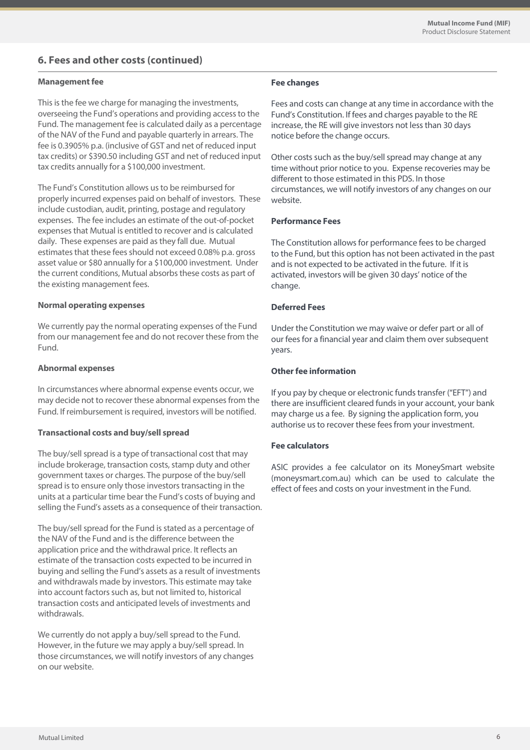# **6. Fees and other costs (continued)**

#### **Management fee**

This is the fee we charge for managing the investments, overseeing the Fund's operations and providing access to the Fund. The management fee is calculated daily as a percentage of the NAV of the Fund and payable quarterly in arrears. The fee is 0.3905% p.a. (inclusive of GST and net of reduced input tax credits) or \$390.50 including GST and net of reduced input tax credits annually for a \$100,000 investment.

The Fund's Constitution allows us to be reimbursed for properly incurred expenses paid on behalf of investors. These include custodian, audit, printing, postage and regulatory expenses. The fee includes an estimate of the out-of-pocket expenses that Mutual is entitled to recover and is calculated daily. These expenses are paid as they fall due. Mutual estimates that these fees should not exceed 0.08% p.a. gross asset value or \$80 annually for a \$100,000 investment. Under the current conditions, Mutual absorbs these costs as part of the existing management fees.

#### **Normal operating expenses**

We currently pay the normal operating expenses of the Fund from our management fee and do not recover these from the Fund.

#### **Abnormal expenses**

In circumstances where abnormal expense events occur, we may decide not to recover these abnormal expenses from the Fund. If reimbursement is required, investors will be notified.

#### **Transactional costs and buy/sell spread**

The buy/sell spread is a type of transactional cost that may include brokerage, transaction costs, stamp duty and other government taxes or charges. The purpose of the buy/sell spread is to ensure only those investors transacting in the units at a particular time bear the Fund's costs of buying and selling the Fund's assets as a consequence of their transaction.

The buy/sell spread for the Fund is stated as a percentage of the NAV of the Fund and is the difference between the application price and the withdrawal price. It reflects an estimate of the transaction costs expected to be incurred in buying and selling the Fund's assets as a result of investments and withdrawals made by investors. This estimate may take into account factors such as, but not limited to, historical transaction costs and anticipated levels of investments and withdrawals.

We currently do not apply a buy/sell spread to the Fund. However, in the future we may apply a buy/sell spread. In those circumstances, we will notify investors of any changes on our website.

#### **Fee changes**

Fees and costs can change at any time in accordance with the Fund's Constitution. If fees and charges payable to the RE increase, the RE will give investors not less than 30 days notice before the change occurs.

Other costs such as the buy/sell spread may change at any time without prior notice to you. Expense recoveries may be different to those estimated in this PDS. In those circumstances, we will notify investors of any changes on our website.

#### **Performance Fees**

The Constitution allows for performance fees to be charged to the Fund, but this option has not been activated in the past and is not expected to be activated in the future. If it is activated, investors will be given 30 days' notice of the change.

#### **Deferred Fees**

Under the Constitution we may waive or defer part or all of our fees for a financial year and claim them over subsequent years.

#### **Other fee information**

If you pay by cheque or electronic funds transfer ("EFT") and there are insufficient cleared funds in your account, your bank may charge us a fee. By signing the application form, you authorise us to recover these fees from your investment.

#### **Fee calculators**

ASIC provides a fee calculator on its MoneySmart website (moneysmart.com.au) which can be used to calculate the effect of fees and costs on your investment in the Fund.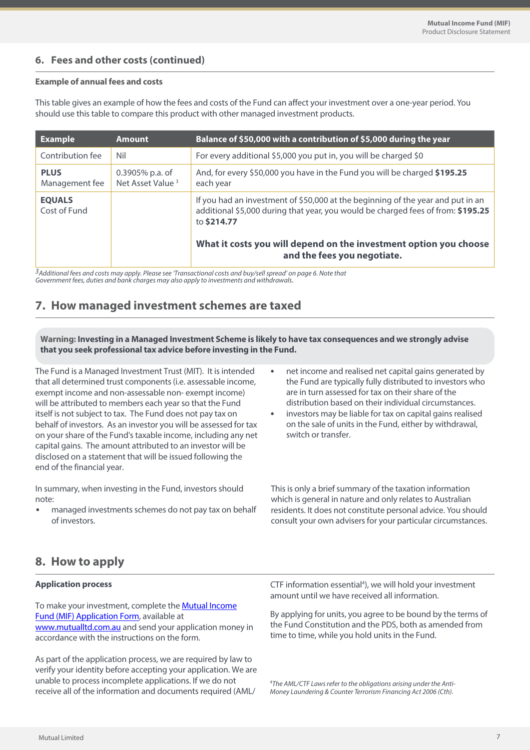## **6. Fees and other costs (continued)**

#### **Example of annual fees and costs**

This table gives an example of how the fees and costs of the Fund can affect your investment over a one-year period. You should use this table to compare this product with other managed investment products.

| <b>Example</b>                | <b>Amount</b>                                   | Balance of \$50,000 with a contribution of \$5,000 during the year                                                                                                                 |
|-------------------------------|-------------------------------------------------|------------------------------------------------------------------------------------------------------------------------------------------------------------------------------------|
| Contribution fee              | Nil                                             | For every additional \$5,000 you put in, you will be charged \$0                                                                                                                   |
| <b>PLUS</b><br>Management fee | 0.3905% p.a. of<br>Net Asset Value <sup>3</sup> | And, for every \$50,000 you have in the Fund you will be charged \$195.25<br>each year                                                                                             |
| <b>EQUALS</b><br>Cost of Fund |                                                 | If you had an investment of \$50,000 at the beginning of the year and put in an<br>additional \$5,000 during that year, you would be charged fees of from: \$195.25<br>to \$214.77 |
|                               |                                                 | What it costs you will depend on the investment option you choose<br>and the fees you negotiate.                                                                                   |

3<br>Additional fees and costs may apply. Please see 'Transactional costs and buy/sell spread' on page 6. Note that<br>Government fees, duties and bank charges may also apply to investments and withdrawals.

# **7. How managed investment schemes are taxed**

**Warning: Investing in a Managed Investment Scheme is likely to have tax consequences and we strongly advise that you seek professional tax advice before investing in the Fund.**

The Fund is a Managed Investment Trust (MIT). It is intended that all determined trust components (i.e. assessable income, exempt income and non-assessable non- exempt income) will be attributed to members each year so that the Fund itself is not subject to tax. The Fund does not pay tax on behalf of investors. As an investor you will be assessed for tax on your share of the Fund's taxable income, including any net capital gains. The amount attributed to an investor will be disclosed on a statement that will be issued following the end of the financial year.

In summary, when investing in the Fund, investors should note:

• managed investments schemes do not pay tax on behalf of investors.

- net income and realised net capital gains generated by the Fund are typically fully distributed to investors who are in turn assessed for tax on their share of the distribution based on their individual circumstances.
- investors may be liable for tax on capital gains realised on the sale of units in the Fund, either by withdrawal, switch or transfer.

This is only a brief summary of the taxation information which is general in nature and only relates to Australian residents. It does not constitute personal advice. You should consult your own advisers for your particular circumstances.

# **8. How to apply**

## **Application process**

To make your investment, complete th[e Mutual Income](https://www.mutualltd.com.au/2019/wp-content/uploads/2022/06/Mutual-Limited-Mutual-Income-MIF-Application-Form.pdf)  [Fund \(MIF\) Application Form,](https://www.mutualltd.com.au/2019/wp-content/uploads/2022/06/Mutual-Limited-Mutual-Income-MIF-Application-Form.pdf) available at [www.mutualltd.com.au](mutualltd.com.au) [a](https://www.mutualltd.com.au/funds/#MIF)nd send your application money in accordance with the instructions on the form.

As part of the application process, we are required by law to verify your identity before accepting your application. We are unable to process incomplete applications. If we do not receive all of the information and documents required (AML/

CTF information essential<sup>4</sup>), we will hold your investment amount until we have received all information.

By applying for units, you agree to be bound by the terms of the Fund Constitution and the PDS, both as amended from time to time, while you hold units in the Fund.

<sup>4</sup>The AML/CTF Laws refer to the obligations arising under the Anti-Money Laundering & Counter Terrorism Financing Act 2006 (Cth).